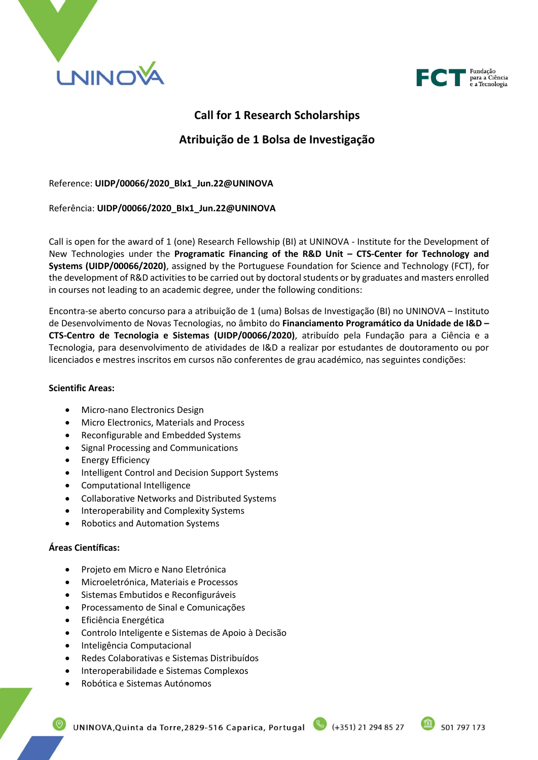



# **Call for 1 Research Scholarships**

# **Atribuição de 1 Bolsa de Investigação**

## Reference: **UIDP/00066/2020\_Blx1\_Jun.22@UNINOVA**

## Referência: **UIDP/00066/2020\_BIx1\_Jun.22@UNINOVA**

Call is open for the award of 1 (one) Research Fellowship (BI) at UNINOVA - Institute for the Development of New Technologies under the **Programatic Financing of the R&D Unit – CTS-Center for Technology and Systems (UIDP/00066/2020)**, assigned by the Portuguese Foundation for Science and Technology (FCT), for the development of R&D activities to be carried out by doctoral students or by graduates and masters enrolled in courses not leading to an academic degree, under the following conditions:

Encontra-se aberto concurso para a atribuição de 1 (uma) Bolsas de Investigação (BI) no UNINOVA – Instituto de Desenvolvimento de Novas Tecnologias, no âmbito do **Financiamento Programático da Unidade de I&D – CTS-Centro de Tecnologia e Sistemas (UIDP/00066/2020)**, atribuído pela Fundação para a Ciência e a Tecnologia, para desenvolvimento de atividades de I&D a realizar por estudantes de doutoramento ou por licenciados e mestres inscritos em cursos não conferentes de grau académico, nas seguintes condições:

## **Scientific Areas:**

- Micro-nano Electronics Design
- Micro Electronics, Materials and Process
- Reconfigurable and Embedded Systems
- Signal Processing and Communications
- **Energy Efficiency**
- Intelligent Control and Decision Support Systems
- Computational Intelligence
- Collaborative Networks and Distributed Systems
- Interoperability and Complexity Systems
- Robotics and Automation Systems

## **Áreas Científicas:**

- Projeto em Micro e Nano Eletrónica
- Microeletrónica, Materiais e Processos
- Sistemas Embutidos e Reconfiguráveis
- Processamento de Sinal e Comunicações
- Eficiência Energética
- Controlo Inteligente e Sistemas de Apoio à Decisão
- Inteligência Computacional
- Redes Colaborativas e Sistemas Distribuídos
- Interoperabilidade e Sistemas Complexos
- Robótica e Sistemas Autónomos

UNINOVA, Quinta da Torre, 2829-516 Caparica, Portugal (4351) 21 294 85 27

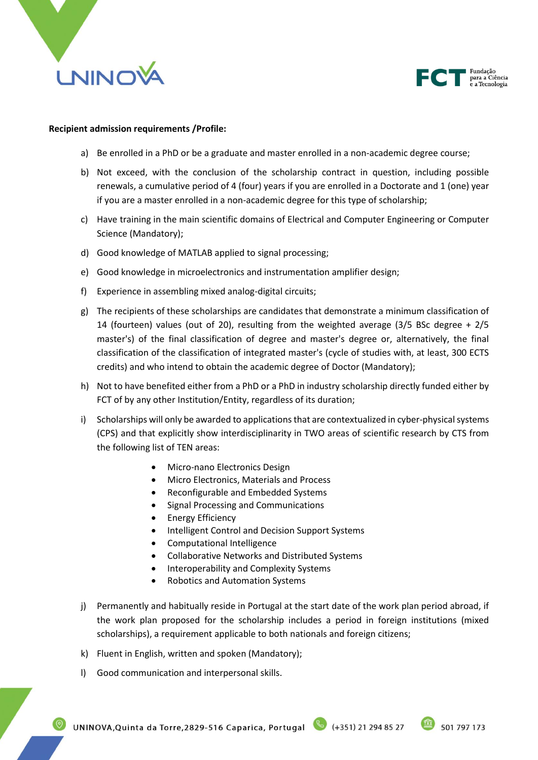



#### **Recipient admission requirements /Profile:**

- a) Be enrolled in a PhD or be a graduate and master enrolled in a non-academic degree course;
- b) Not exceed, with the conclusion of the scholarship contract in question, including possible renewals, a cumulative period of 4 (four) years if you are enrolled in a Doctorate and 1 (one) year if you are a master enrolled in a non-academic degree for this type of scholarship;
- c) Have training in the main scientific domains of Electrical and Computer Engineering or Computer Science (Mandatory);
- d) Good knowledge of MATLAB applied to signal processing;
- e) Good knowledge in microelectronics and instrumentation amplifier design;
- f) Experience in assembling mixed analog-digital circuits;
- g) The recipients of these scholarships are candidates that demonstrate a minimum classification of 14 (fourteen) values (out of 20), resulting from the weighted average (3/5 BSc degree + 2/5 master's) of the final classification of degree and master's degree or, alternatively, the final classification of the classification of integrated master's (cycle of studies with, at least, 300 ECTS credits) and who intend to obtain the academic degree of Doctor (Mandatory);
- h) Not to have benefited either from a PhD or a PhD in industry scholarship directly funded either by FCT of by any other Institution/Entity, regardless of its duration;
- i) Scholarships will only be awarded to applications that are contextualized in cyber-physical systems (CPS) and that explicitly show interdisciplinarity in TWO areas of scientific research by CTS from the following list of TEN areas:
	- Micro-nano Electronics Design
	- Micro Electronics, Materials and Process
	- Reconfigurable and Embedded Systems
	- Signal Processing and Communications
	- Energy Efficiency
	- Intelligent Control and Decision Support Systems
	- Computational Intelligence
	- Collaborative Networks and Distributed Systems
	- Interoperability and Complexity Systems
	- Robotics and Automation Systems
- j) Permanently and habitually reside in Portugal at the start date of the work plan period abroad, if the work plan proposed for the scholarship includes a period in foreign institutions (mixed scholarships), a requirement applicable to both nationals and foreign citizens;
- k) Fluent in English, written and spoken (Mandatory);
- l) Good communication and interpersonal skills.

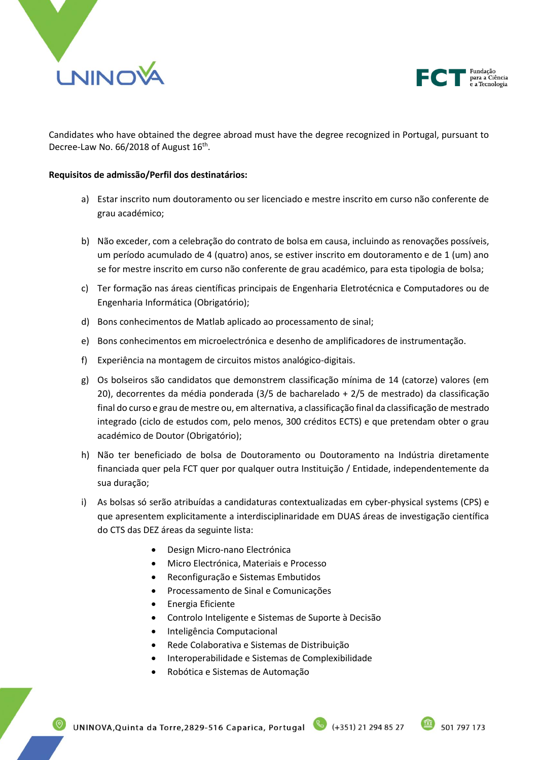



Candidates who have obtained the degree abroad must have the degree recognized in Portugal, pursuant to Decree-Law No. 66/2018 of August 16<sup>th</sup>.

#### **Requisitos de admissão/Perfil dos destinatários:**

- a) Estar inscrito num doutoramento ou ser licenciado e mestre inscrito em curso não conferente de grau académico;
- b) Não exceder, com a celebração do contrato de bolsa em causa, incluindo as renovações possíveis, um período acumulado de 4 (quatro) anos, se estiver inscrito em doutoramento e de 1 (um) ano se for mestre inscrito em curso não conferente de grau académico, para esta tipologia de bolsa;
- c) Ter formação nas áreas científicas principais de Engenharia Eletrotécnica e Computadores ou de Engenharia Informática (Obrigatório);
- d) Bons conhecimentos de Matlab aplicado ao processamento de sinal;
- e) Bons conhecimentos em microelectrónica e desenho de amplificadores de instrumentação.
- f) Experiência na montagem de circuitos mistos analógico-digitais.
- g) Os bolseiros são candidatos que demonstrem classificação mínima de 14 (catorze) valores (em 20), decorrentes da média ponderada (3/5 de bacharelado + 2/5 de mestrado) da classificação final do curso e grau de mestre ou, em alternativa, a classificação final da classificação de mestrado integrado (ciclo de estudos com, pelo menos, 300 créditos ECTS) e que pretendam obter o grau académico de Doutor (Obrigatório);
- h) Não ter beneficiado de bolsa de Doutoramento ou Doutoramento na Indústria diretamente financiada quer pela FCT quer por qualquer outra Instituição / Entidade, independentemente da sua duração;
- i) As bolsas só serão atribuídas a candidaturas contextualizadas em cyber-physical systems (CPS) e que apresentem explicitamente a interdisciplinaridade em DUAS áreas de investigação científica do CTS das DEZ áreas da seguinte lista:
	- Design Micro-nano Electrónica
	- Micro Electrónica, Materiais e Processo
	- Reconfiguração e Sistemas Embutidos
	- Processamento de Sinal e Comunicações
	- Energia Eficiente
	- Controlo Inteligente e Sistemas de Suporte à Decisão
	- Inteligência Computacional
	- Rede Colaborativa e Sistemas de Distribuição
	- Interoperabilidade e Sistemas de Complexibilidade
	- Robótica e Sistemas de Automação

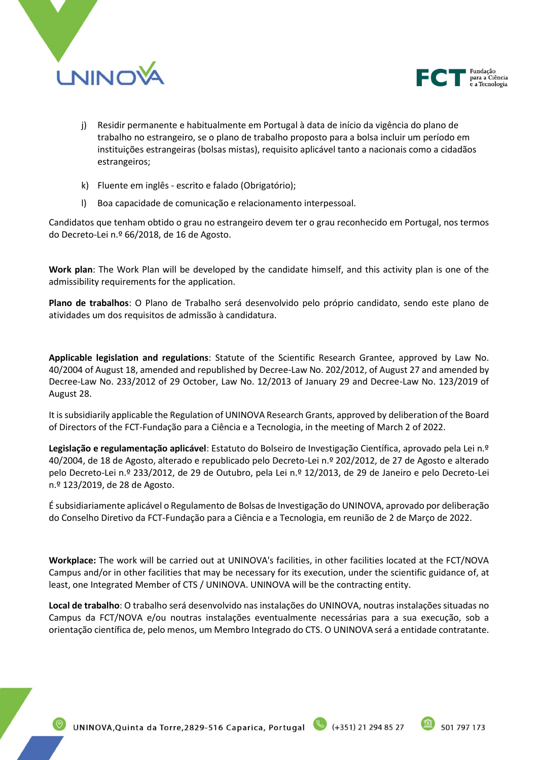



- j) Residir permanente e habitualmente em Portugal à data de início da vigência do plano de trabalho no estrangeiro, se o plano de trabalho proposto para a bolsa incluir um período em instituições estrangeiras (bolsas mistas), requisito aplicável tanto a nacionais como a cidadãos estrangeiros;
- k) Fluente em inglês escrito e falado (Obrigatório);
- l) Boa capacidade de comunicação e relacionamento interpessoal.

Candidatos que tenham obtido o grau no estrangeiro devem ter o grau reconhecido em Portugal, nos termos do Decreto-Lei n.º 66/2018, de 16 de Agosto.

**Work plan**: The Work Plan will be developed by the candidate himself, and this activity plan is one of the admissibility requirements for the application.

**Plano de trabalhos**: O Plano de Trabalho será desenvolvido pelo próprio candidato, sendo este plano de atividades um dos requisitos de admissão à candidatura.

**Applicable legislation and regulations**: Statute of the Scientific Research Grantee, approved by Law No. 40/2004 of August 18, amended and republished by Decree-Law No. 202/2012, of August 27 and amended by Decree-Law No. 233/2012 of 29 October, Law No. 12/2013 of January 29 and Decree-Law No. 123/2019 of August 28.

It is subsidiarily applicable the Regulation of UNINOVA Research Grants, approved by deliberation of the Board of Directors of the FCT-Fundação para a Ciência e a Tecnologia, in the meeting of March 2 of 2022.

**Legislação e regulamentação aplicável**: Estatuto do Bolseiro de Investigação Científica, aprovado pela Lei n.º 40/2004, de 18 de Agosto, alterado e republicado pelo Decreto-Lei n.º 202/2012, de 27 de Agosto e alterado pelo Decreto-Lei n.º 233/2012, de 29 de Outubro, pela Lei n.º 12/2013, de 29 de Janeiro e pelo Decreto-Lei n.º 123/2019, de 28 de Agosto.

É subsidiariamente aplicável o Regulamento de Bolsas de Investigação do UNINOVA, aprovado por deliberação do Conselho Diretivo da FCT-Fundação para a Ciência e a Tecnologia, em reunião de 2 de Março de 2022.

**Workplace:** The work will be carried out at UNINOVA's facilities, in other facilities located at the FCT/NOVA Campus and/or in other facilities that may be necessary for its execution, under the scientific guidance of, at least, one Integrated Member of CTS / UNINOVA. UNINOVA will be the contracting entity.

**Local de trabalho**: O trabalho será desenvolvido nas instalações do UNINOVA, noutras instalações situadas no Campus da FCT/NOVA e/ou noutras instalações eventualmente necessárias para a sua execução, sob a orientação científica de, pelo menos, um Membro Integrado do CTS. O UNINOVA será a entidade contratante.

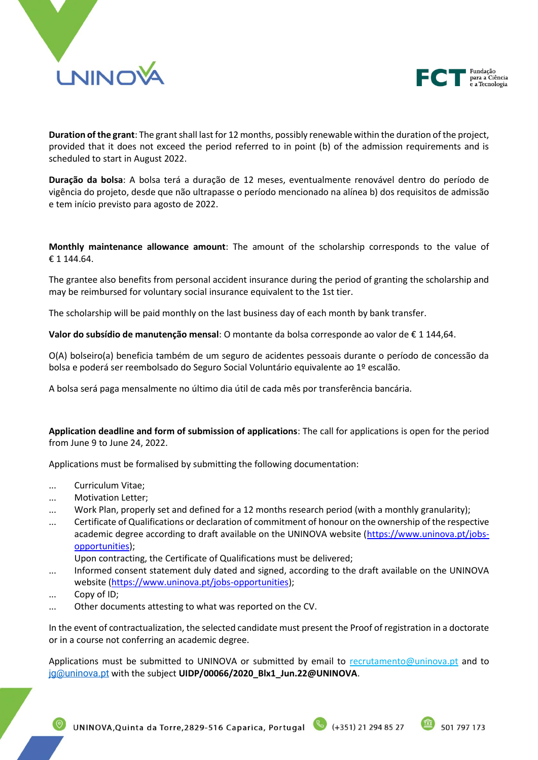



**Duration of the grant**: The grant shall last for 12 months, possibly renewable within the duration of the project, provided that it does not exceed the period referred to in point (b) of the admission requirements and is scheduled to start in August 2022.

**Duração da bolsa**: A bolsa terá a duração de 12 meses, eventualmente renovável dentro do período de vigência do projeto, desde que não ultrapasse o período mencionado na alínea b) dos requisitos de admissão e tem início previsto para agosto de 2022.

**Monthly maintenance allowance amount**: The amount of the scholarship corresponds to the value of € 1 144.64.

The grantee also benefits from personal accident insurance during the period of granting the scholarship and may be reimbursed for voluntary social insurance equivalent to the 1st tier.

The scholarship will be paid monthly on the last business day of each month by bank transfer.

**Valor do subsídio de manutenção mensal**: O montante da bolsa corresponde ao valor de € 1 144,64.

O(A) bolseiro(a) beneficia também de um seguro de acidentes pessoais durante o período de concessão da bolsa e poderá ser reembolsado do Seguro Social Voluntário equivalente ao 1º escalão.

A bolsa será paga mensalmente no último dia útil de cada mês por transferência bancária.

**Application deadline and form of submission of applications**: The call for applications is open for the period from June 9 to June 24, 2022.

Applications must be formalised by submitting the following documentation:

- ... Curriculum Vitae;
- ... Motivation Letter;
- Work Plan, properly set and defined for a 12 months research period (with a monthly granularity);
- ... Certificate of Qualifications or declaration of commitment of honour on the ownership of the respective academic degree according to draft available on the UNINOVA website [\(https://www.uninova.pt/jobs](https://www.uninova.pt/jobs-opportunities)[opportunities\)](https://www.uninova.pt/jobs-opportunities);

Upon contracting, the Certificate of Qualifications must be delivered;

- ... Informed consent statement duly dated and signed, according to the draft available on the UNINOVA website [\(https://www.uninova.pt/jobs-opportunities\)](https://www.uninova.pt/jobs-opportunities);
- ... Copy of ID;
- ... Other documents attesting to what was reported on the CV.

In the event of contractualization, the selected candidate must present the Proof of registration in a doctorate or in a course not conferring an academic degree.

Applications must be submitted to UNINOVA or submitted by email to recrutamento@uninova.pt and to [jg@uninova.pt](mailto:jg@uninova.pt) with the subject **UIDP/00066/2020\_Blx1\_Jun.22@UNINOVA**.

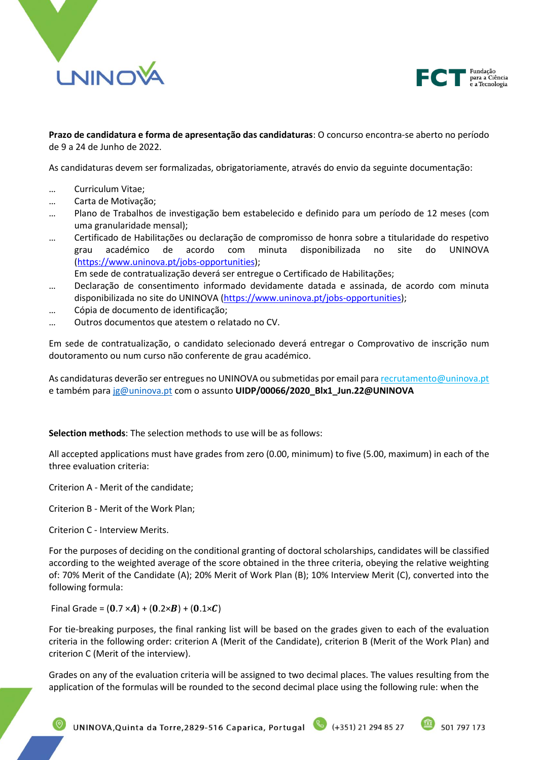



**Prazo de candidatura e forma de apresentação das candidaturas**: O concurso encontra-se aberto no período de 9 a 24 de Junho de 2022.

As candidaturas devem ser formalizadas, obrigatoriamente, através do envio da seguinte documentação:

- … Curriculum Vitae;
- … Carta de Motivação;
- … Plano de Trabalhos de investigação bem estabelecido e definido para um período de 12 meses (com uma granularidade mensal);
- … Certificado de Habilitações ou declaração de compromisso de honra sobre a titularidade do respetivo grau académico de acordo com minuta disponibilizada no site do UNINOVA [\(https://www.uninova.pt/jobs-opportunities\)](https://www.uninova.pt/jobs-opportunities);

Em sede de contratualização deverá ser entregue o Certificado de Habilitações;

- … Declaração de consentimento informado devidamente datada e assinada, de acordo com minuta disponibilizada no site do UNINOVA [\(https://www.uninova.pt/jobs-opportunities\)](https://www.uninova.pt/jobs-opportunities);
- … Cópia de documento de identificação;
- … Outros documentos que atestem o relatado no CV.

Em sede de contratualização, o candidato selecionado deverá entregar o Comprovativo de inscrição num doutoramento ou num curso não conferente de grau académico.

As candidaturas deverão ser entregues no UNINOVA ou submetidas por email para recrutamento@uninova.pt e também para [jg@uninova.pt](mailto:jg@uninova.pt) com o assunto **UIDP/00066/2020\_Blx1\_Jun.22@UNINOVA**

**Selection methods**: The selection methods to use will be as follows:

All accepted applications must have grades from zero (0.00, minimum) to five (5.00, maximum) in each of the three evaluation criteria:

Criterion A - Merit of the candidate;

Criterion B - Merit of the Work Plan;

Criterion C - Interview Merits.

For the purposes of deciding on the conditional granting of doctoral scholarships, candidates will be classified according to the weighted average of the score obtained in the three criteria, obeying the relative weighting of: 70% Merit of the Candidate (A); 20% Merit of Work Plan (B); 10% Interview Merit (C), converted into the following formula:

Final Grade =  $(0.7 \times A) + (0.2 \times B) + (0.1 \times C)$ 

For tie-breaking purposes, the final ranking list will be based on the grades given to each of the evaluation criteria in the following order: criterion A (Merit of the Candidate), criterion B (Merit of the Work Plan) and criterion C (Merit of the interview).

Grades on any of the evaluation criteria will be assigned to two decimal places. The values resulting from the application of the formulas will be rounded to the second decimal place using the following rule: when the

UNINOVA, Quinta da Torre, 2829-516 Caparica, Portugal (4351) 21 294 85 27

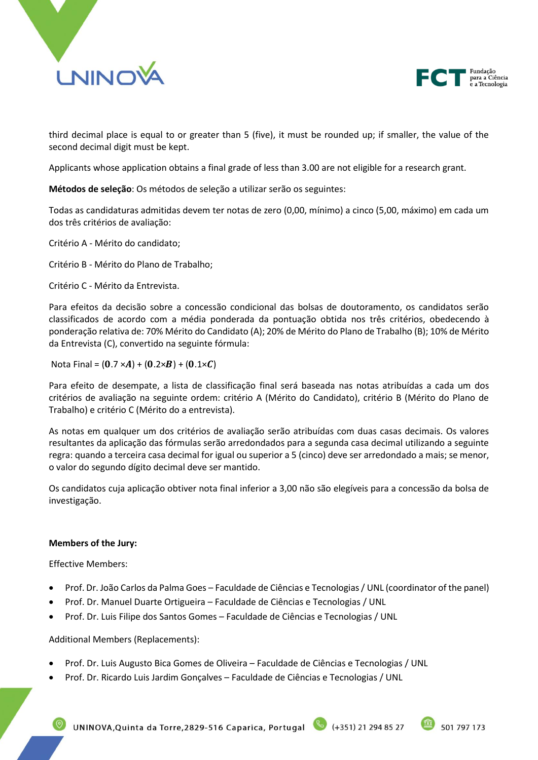



third decimal place is equal to or greater than 5 (five), it must be rounded up; if smaller, the value of the second decimal digit must be kept.

Applicants whose application obtains a final grade of less than 3.00 are not eligible for a research grant.

**Métodos de seleção**: Os métodos de seleção a utilizar serão os seguintes:

Todas as candidaturas admitidas devem ter notas de zero (0,00, mínimo) a cinco (5,00, máximo) em cada um dos três critérios de avaliação:

Critério A - Mérito do candidato;

Critério B - Mérito do Plano de Trabalho;

Critério C - Mérito da Entrevista.

Para efeitos da decisão sobre a concessão condicional das bolsas de doutoramento, os candidatos serão classificados de acordo com a média ponderada da pontuação obtida nos três critérios, obedecendo à ponderação relativa de: 70% Mérito do Candidato (A); 20% de Mérito do Plano de Trabalho (B); 10% de Mérito da Entrevista (C), convertido na seguinte fórmula:

Nota Final =  $(0.7 \times A) + (0.2 \times B) + (0.1 \times C)$ 

Para efeito de desempate, a lista de classificação final será baseada nas notas atribuídas a cada um dos critérios de avaliação na seguinte ordem: critério A (Mérito do Candidato), critério B (Mérito do Plano de Trabalho) e critério C (Mérito do a entrevista).

As notas em qualquer um dos critérios de avaliação serão atribuídas com duas casas decimais. Os valores resultantes da aplicação das fórmulas serão arredondados para a segunda casa decimal utilizando a seguinte regra: quando a terceira casa decimal for igual ou superior a 5 (cinco) deve ser arredondado a mais; se menor, o valor do segundo dígito decimal deve ser mantido.

Os candidatos cuja aplicação obtiver nota final inferior a 3,00 não são elegíveis para a concessão da bolsa de investigação.

## **Members of the Jury:**

Effective Members:

- Prof. Dr. João Carlos da Palma Goes Faculdade de Ciências e Tecnologias / UNL (coordinator of the panel)
- Prof. Dr. Manuel Duarte Ortigueira Faculdade de Ciências e Tecnologias / UNL
- Prof. Dr. Luis Filipe dos Santos Gomes Faculdade de Ciências e Tecnologias / UNL

Additional Members (Replacements):

- Prof. Dr. Luis Augusto Bica Gomes de Oliveira Faculdade de Ciências e Tecnologias / UNL
- Prof. Dr. Ricardo Luis Jardim Gonçalves Faculdade de Ciências e Tecnologias / UNL

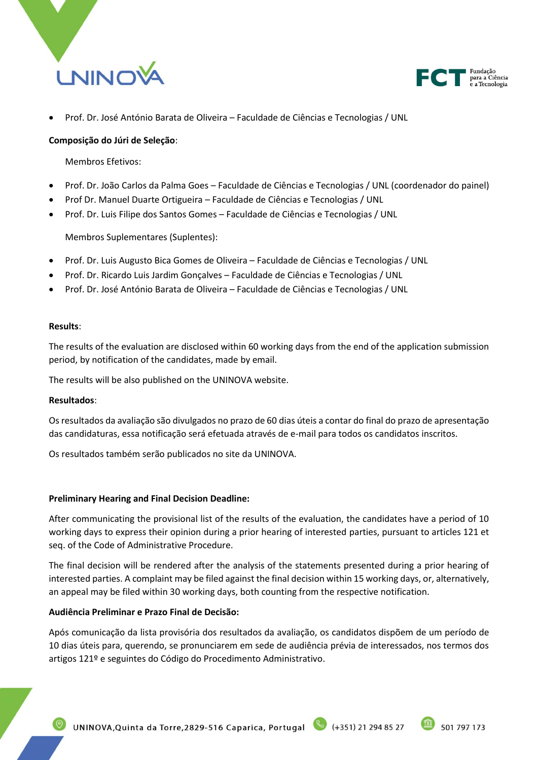



• Prof. Dr. José António Barata de Oliveira – Faculdade de Ciências e Tecnologias / UNL

### **Composição do Júri de Seleção**:

Membros Efetivos:

- Prof. Dr. João Carlos da Palma Goes Faculdade de Ciências e Tecnologias / UNL (coordenador do painel)
- Prof Dr. Manuel Duarte Ortigueira Faculdade de Ciências e Tecnologias / UNL
- Prof. Dr. Luis Filipe dos Santos Gomes Faculdade de Ciências e Tecnologias / UNL

Membros Suplementares (Suplentes):

- Prof. Dr. Luis Augusto Bica Gomes de Oliveira Faculdade de Ciências e Tecnologias / UNL
- Prof. Dr. Ricardo Luis Jardim Gonçalves Faculdade de Ciências e Tecnologias / UNL
- Prof. Dr. José António Barata de Oliveira Faculdade de Ciências e Tecnologias / UNL

#### **Results**:

The results of the evaluation are disclosed within 60 working days from the end of the application submission period, by notification of the candidates, made by email.

The results will be also published on the UNINOVA website.

#### **Resultados**:

Os resultados da avaliação são divulgados no prazo de 60 dias úteis a contar do final do prazo de apresentação das candidaturas, essa notificação será efetuada através de e-mail para todos os candidatos inscritos.

Os resultados também serão publicados no site da UNINOVA.

#### **Preliminary Hearing and Final Decision Deadline:**

After communicating the provisional list of the results of the evaluation, the candidates have a period of 10 working days to express their opinion during a prior hearing of interested parties, pursuant to articles 121 et seq. of the Code of Administrative Procedure.

The final decision will be rendered after the analysis of the statements presented during a prior hearing of interested parties. A complaint may be filed against the final decision within 15 working days, or, alternatively, an appeal may be filed within 30 working days, both counting from the respective notification.

## **Audiência Preliminar e Prazo Final de Decisão:**

Após comunicação da lista provisória dos resultados da avaliação, os candidatos dispõem de um período de 10 dias úteis para, querendo, se pronunciarem em sede de audiência prévia de interessados, nos termos dos artigos 121º e seguintes do Código do Procedimento Administrativo.